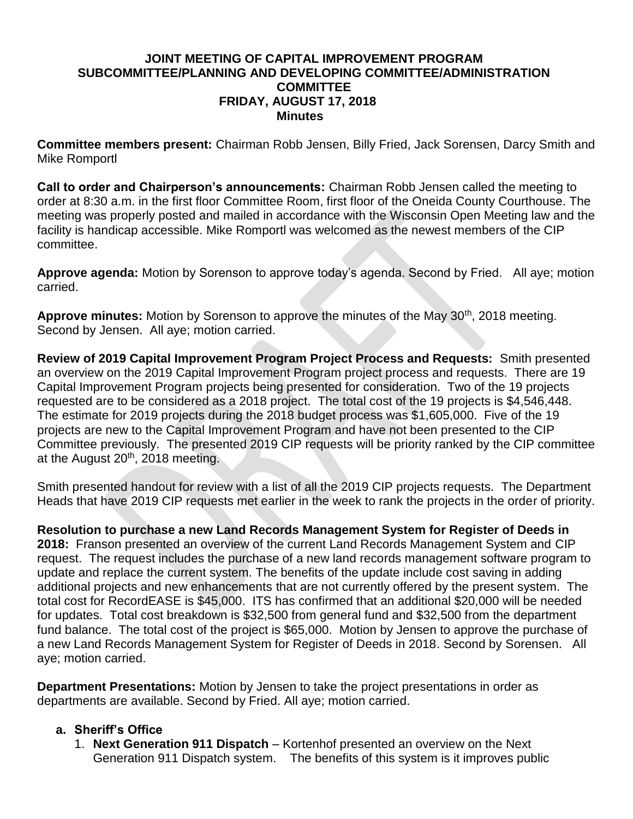#### **JOINT MEETING OF CAPITAL IMPROVEMENT PROGRAM SUBCOMMITTEE/PLANNING AND DEVELOPING COMMITTEE/ADMINISTRATION COMMITTEE FRIDAY, AUGUST 17, 2018 Minutes**

**Committee members present:** Chairman Robb Jensen, Billy Fried, Jack Sorensen, Darcy Smith and Mike Romportl

**Call to order and Chairperson's announcements:** Chairman Robb Jensen called the meeting to order at 8:30 a.m. in the first floor Committee Room, first floor of the Oneida County Courthouse. The meeting was properly posted and mailed in accordance with the Wisconsin Open Meeting law and the facility is handicap accessible. Mike Romportl was welcomed as the newest members of the CIP committee.

**Approve agenda:** Motion by Sorenson to approve today's agenda. Second by Fried. All aye; motion carried.

Approve minutes: Motion by Sorenson to approve the minutes of the May 30<sup>th</sup>, 2018 meeting. Second by Jensen. All aye; motion carried.

**Review of 2019 Capital Improvement Program Project Process and Requests:** Smith presented an overview on the 2019 Capital Improvement Program project process and requests. There are 19 Capital Improvement Program projects being presented for consideration. Two of the 19 projects requested are to be considered as a 2018 project. The total cost of the 19 projects is \$4,546,448. The estimate for 2019 projects during the 2018 budget process was \$1,605,000. Five of the 19 projects are new to the Capital Improvement Program and have not been presented to the CIP Committee previously. The presented 2019 CIP requests will be priority ranked by the CIP committee at the August 20<sup>th</sup>, 2018 meeting.

Smith presented handout for review with a list of all the 2019 CIP projects requests. The Department Heads that have 2019 CIP requests met earlier in the week to rank the projects in the order of priority.

**Resolution to purchase a new Land Records Management System for Register of Deeds in 2018:** Franson presented an overview of the current Land Records Management System and CIP request. The request includes the purchase of a new land records management software program to update and replace the current system. The benefits of the update include cost saving in adding additional projects and new enhancements that are not currently offered by the present system. The total cost for RecordEASE is \$45,000. ITS has confirmed that an additional \$20,000 will be needed for updates. Total cost breakdown is \$32,500 from general fund and \$32,500 from the department fund balance. The total cost of the project is \$65,000. Motion by Jensen to approve the purchase of a new Land Records Management System for Register of Deeds in 2018. Second by Sorensen. All aye; motion carried.

**Department Presentations:** Motion by Jensen to take the project presentations in order as departments are available. Second by Fried. All aye; motion carried.

## **a. Sheriff's Office**

1. **Next Generation 911 Dispatch** – Kortenhof presented an overview on the Next Generation 911 Dispatch system. The benefits of this system is it improves public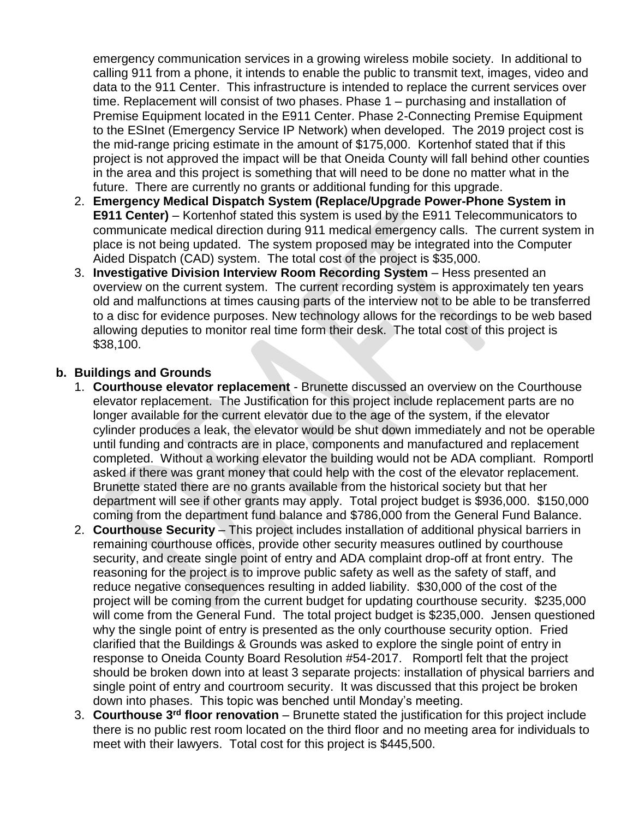emergency communication services in a growing wireless mobile society. In additional to calling 911 from a phone, it intends to enable the public to transmit text, images, video and data to the 911 Center. This infrastructure is intended to replace the current services over time. Replacement will consist of two phases. Phase 1 – purchasing and installation of Premise Equipment located in the E911 Center. Phase 2-Connecting Premise Equipment to the ESInet (Emergency Service IP Network) when developed. The 2019 project cost is the mid-range pricing estimate in the amount of \$175,000. Kortenhof stated that if this project is not approved the impact will be that Oneida County will fall behind other counties in the area and this project is something that will need to be done no matter what in the future. There are currently no grants or additional funding for this upgrade.

- 2. **Emergency Medical Dispatch System (Replace/Upgrade Power-Phone System in E911 Center)** – Kortenhof stated this system is used by the E911 Telecommunicators to communicate medical direction during 911 medical emergency calls. The current system in place is not being updated. The system proposed may be integrated into the Computer Aided Dispatch (CAD) system. The total cost of the project is \$35,000.
- 3. **Investigative Division Interview Room Recording System** Hess presented an overview on the current system. The current recording system is approximately ten years old and malfunctions at times causing parts of the interview not to be able to be transferred to a disc for evidence purposes. New technology allows for the recordings to be web based allowing deputies to monitor real time form their desk. The total cost of this project is \$38,100.

#### **b. Buildings and Grounds**

- 1. **Courthouse elevator replacement** Brunette discussed an overview on the Courthouse elevator replacement. The Justification for this project include replacement parts are no longer available for the current elevator due to the age of the system, if the elevator cylinder produces a leak, the elevator would be shut down immediately and not be operable until funding and contracts are in place, components and manufactured and replacement completed. Without a working elevator the building would not be ADA compliant. Romportl asked if there was grant money that could help with the cost of the elevator replacement. Brunette stated there are no grants available from the historical society but that her department will see if other grants may apply. Total project budget is \$936,000. \$150,000 coming from the department fund balance and \$786,000 from the General Fund Balance.
- 2. **Courthouse Security** This project includes installation of additional physical barriers in remaining courthouse offices, provide other security measures outlined by courthouse security, and create single point of entry and ADA complaint drop-off at front entry. The reasoning for the project is to improve public safety as well as the safety of staff, and reduce negative consequences resulting in added liability. \$30,000 of the cost of the project will be coming from the current budget for updating courthouse security. \$235,000 will come from the General Fund. The total project budget is \$235,000. Jensen questioned why the single point of entry is presented as the only courthouse security option. Fried clarified that the Buildings & Grounds was asked to explore the single point of entry in response to Oneida County Board Resolution #54-2017. Romportl felt that the project should be broken down into at least 3 separate projects: installation of physical barriers and single point of entry and courtroom security. It was discussed that this project be broken down into phases. This topic was benched until Monday's meeting.
- 3. **Courthouse 3rd floor renovation** Brunette stated the justification for this project include there is no public rest room located on the third floor and no meeting area for individuals to meet with their lawyers. Total cost for this project is \$445,500.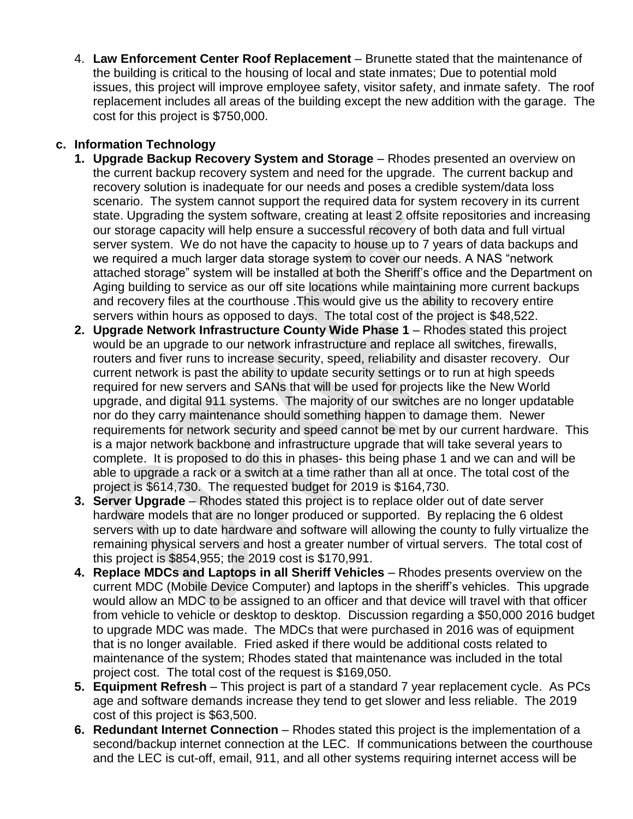4. **Law Enforcement Center Roof Replacement** – Brunette stated that the maintenance of the building is critical to the housing of local and state inmates; Due to potential mold issues, this project will improve employee safety, visitor safety, and inmate safety. The roof replacement includes all areas of the building except the new addition with the garage. The cost for this project is \$750,000.

## **c. Information Technology**

- **1. Upgrade Backup Recovery System and Storage** Rhodes presented an overview on the current backup recovery system and need for the upgrade. The current backup and recovery solution is inadequate for our needs and poses a credible system/data loss scenario. The system cannot support the required data for system recovery in its current state. Upgrading the system software, creating at least 2 offsite repositories and increasing our storage capacity will help ensure a successful recovery of both data and full virtual server system. We do not have the capacity to house up to 7 years of data backups and we required a much larger data storage system to cover our needs. A NAS "network attached storage" system will be installed at both the Sheriff's office and the Department on Aging building to service as our off site locations while maintaining more current backups and recovery files at the courthouse .This would give us the ability to recovery entire servers within hours as opposed to days. The total cost of the project is \$48,522.
- **2. Upgrade Network Infrastructure County Wide Phase 1** Rhodes stated this project would be an upgrade to our network infrastructure and replace all switches, firewalls, routers and fiver runs to increase security, speed, reliability and disaster recovery. Our current network is past the ability to update security settings or to run at high speeds required for new servers and SANs that will be used for projects like the New World upgrade, and digital 911 systems. The majority of our switches are no longer updatable nor do they carry maintenance should something happen to damage them. Newer requirements for network security and speed cannot be met by our current hardware. This is a major network backbone and infrastructure upgrade that will take several years to complete. It is proposed to do this in phases- this being phase 1 and we can and will be able to upgrade a rack or a switch at a time rather than all at once. The total cost of the project is \$614,730. The requested budget for 2019 is \$164,730.
- **3. Server Upgrade** Rhodes stated this project is to replace older out of date server hardware models that are no longer produced or supported. By replacing the 6 oldest servers with up to date hardware and software will allowing the county to fully virtualize the remaining physical servers and host a greater number of virtual servers. The total cost of this project is \$854,955; the 2019 cost is \$170,991.
- **4. Replace MDCs and Laptops in all Sheriff Vehicles** Rhodes presents overview on the current MDC (Mobile Device Computer) and laptops in the sheriff's vehicles. This upgrade would allow an MDC to be assigned to an officer and that device will travel with that officer from vehicle to vehicle or desktop to desktop. Discussion regarding a \$50,000 2016 budget to upgrade MDC was made. The MDCs that were purchased in 2016 was of equipment that is no longer available. Fried asked if there would be additional costs related to maintenance of the system; Rhodes stated that maintenance was included in the total project cost. The total cost of the request is \$169,050.
- **5. Equipment Refresh** This project is part of a standard 7 year replacement cycle. As PCs age and software demands increase they tend to get slower and less reliable. The 2019 cost of this project is \$63,500.
- **6. Redundant Internet Connection** Rhodes stated this project is the implementation of a second/backup internet connection at the LEC. If communications between the courthouse and the LEC is cut-off, email, 911, and all other systems requiring internet access will be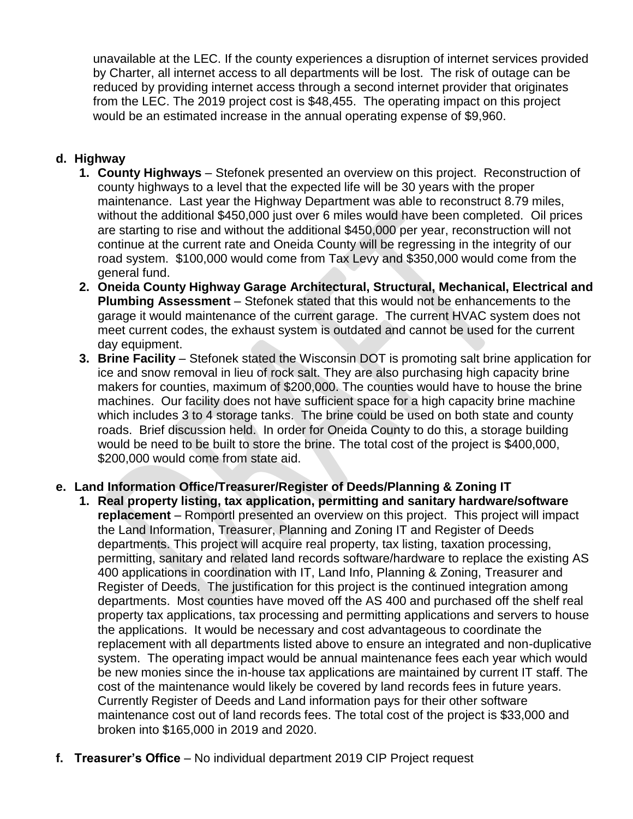unavailable at the LEC. If the county experiences a disruption of internet services provided by Charter, all internet access to all departments will be lost. The risk of outage can be reduced by providing internet access through a second internet provider that originates from the LEC. The 2019 project cost is \$48,455. The operating impact on this project would be an estimated increase in the annual operating expense of \$9,960.

## **d. Highway**

- **1. County Highways** Stefonek presented an overview on this project. Reconstruction of county highways to a level that the expected life will be 30 years with the proper maintenance. Last year the Highway Department was able to reconstruct 8.79 miles, without the additional \$450,000 just over 6 miles would have been completed. Oil prices are starting to rise and without the additional \$450,000 per year, reconstruction will not continue at the current rate and Oneida County will be regressing in the integrity of our road system. \$100,000 would come from Tax Levy and \$350,000 would come from the general fund.
- **2. Oneida County Highway Garage Architectural, Structural, Mechanical, Electrical and Plumbing Assessment** – Stefonek stated that this would not be enhancements to the garage it would maintenance of the current garage. The current HVAC system does not meet current codes, the exhaust system is outdated and cannot be used for the current day equipment.
- **3. Brine Facility** Stefonek stated the Wisconsin DOT is promoting salt brine application for ice and snow removal in lieu of rock salt. They are also purchasing high capacity brine makers for counties, maximum of \$200,000. The counties would have to house the brine machines. Our facility does not have sufficient space for a high capacity brine machine which includes 3 to 4 storage tanks. The brine could be used on both state and county roads. Brief discussion held. In order for Oneida County to do this, a storage building would be need to be built to store the brine. The total cost of the project is \$400,000, \$200,000 would come from state aid.

## **e. Land Information Office/Treasurer/Register of Deeds/Planning & Zoning IT**

- **1. Real property listing, tax application, permitting and sanitary hardware/software replacement** – Romportl presented an overview on this project. This project will impact the Land Information, Treasurer, Planning and Zoning IT and Register of Deeds departments. This project will acquire real property, tax listing, taxation processing, permitting, sanitary and related land records software/hardware to replace the existing AS 400 applications in coordination with IT, Land Info, Planning & Zoning, Treasurer and Register of Deeds. The justification for this project is the continued integration among departments. Most counties have moved off the AS 400 and purchased off the shelf real property tax applications, tax processing and permitting applications and servers to house the applications. It would be necessary and cost advantageous to coordinate the replacement with all departments listed above to ensure an integrated and non-duplicative system. The operating impact would be annual maintenance fees each year which would be new monies since the in-house tax applications are maintained by current IT staff. The cost of the maintenance would likely be covered by land records fees in future years. Currently Register of Deeds and Land information pays for their other software maintenance cost out of land records fees. The total cost of the project is \$33,000 and broken into \$165,000 in 2019 and 2020.
- **f. Treasurer's Office** No individual department 2019 CIP Project request